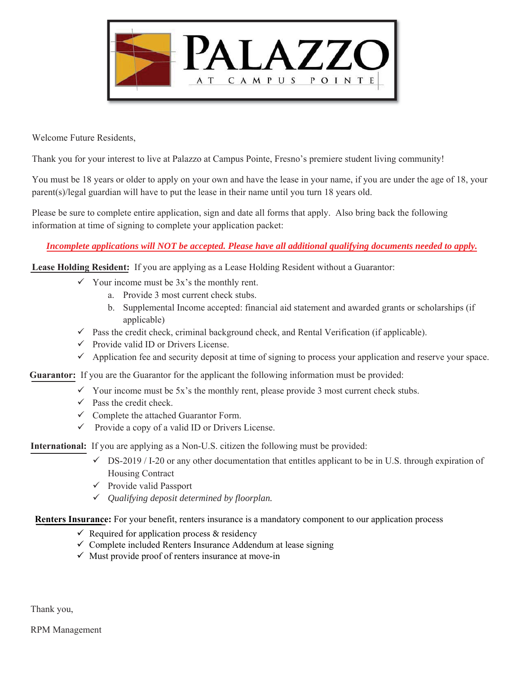

Welcome Future Residents.

Thank you for your interest to live at Palazzo at Campus Pointe, Fresno's premiere student living community!

You must be 18 years or older to apply on your own and have the lease in your name, if you are under the age of 18, your parent(s)/legal guardian will have to put the lease in their name until you turn 18 years old.

Please be sure to complete entire application, sign and date all forms that apply. Also bring back the following information at time of signing to complete your application packet:

### *Incomplete applications will NOT be accepted. Please have all additional qualifying documents needed to apply.*

**Lease Holding Resident:** If you are applying as a Lease Holding Resident without a Guarantor:

- $\checkmark$  Your income must be 3x's the monthly rent.
	- a. Provide 3 most current check stubs.
	- b. Supplemental Income accepted: financial aid statement and awarded grants or scholarships (if applicable)
- $\checkmark$  Pass the credit check, criminal background check, and Rental Verification (if applicable).
- $\checkmark$  Provide valid ID or Drivers License.
- $\checkmark$  Application fee and security deposit at time of signing to process your application and reserve your space.

**Guarantor:** If you are the Guarantor for the applicant the following information must be provided:

- $\checkmark$  Your income must be 5x's the monthly rent, please provide 3 most current check stubs.
- $\checkmark$  Pass the credit check.
- $\checkmark$  Complete the attached Guarantor Form.
- $\checkmark$  Provide a copy of a valid ID or Drivers License.

**International:** If you are applying as a Non-U.S. citizen the following must be provided:

- $\checkmark$  DS-2019 / I-20 or any other documentation that entitles applicant to be in U.S. through expiration of Housing Contract
- $\checkmark$  Provide valid Passport
- 9 *Qualifying deposit determined by floorplan.*

Renters Insurance: For your benefit, renters insurance is a mandatory component to our application process

- $\checkmark$  Required for application process & residency
- $\checkmark$  Complete included Renters Insurance Addendum at lease signing
- $\checkmark$  Must provide proof of renters insurance at move-in

Thank you,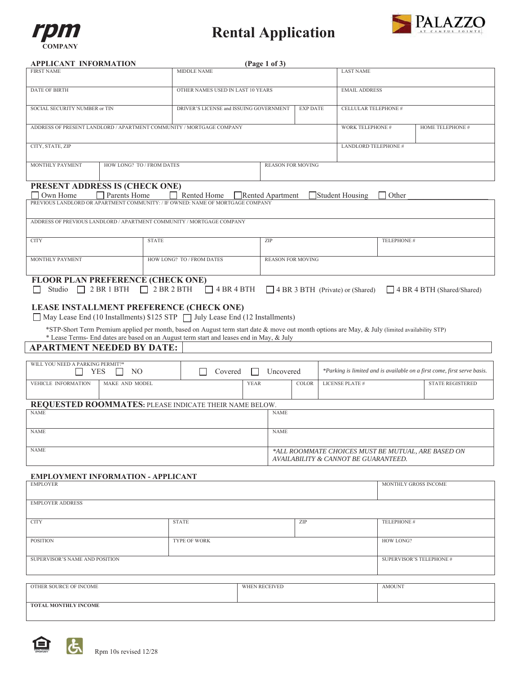

# **Rental Application**



#### **APPLICANT INFORMATION**

| APPLICANT INFORMATION                                                                                                                          |                   |                                         | (Page 1 of 3) |                             |                 |                                                                                            |                          |                                                                          |
|------------------------------------------------------------------------------------------------------------------------------------------------|-------------------|-----------------------------------------|---------------|-----------------------------|-----------------|--------------------------------------------------------------------------------------------|--------------------------|--------------------------------------------------------------------------|
| <b>FIRST NAME</b>                                                                                                                              |                   | <b>MIDDLE NAME</b>                      |               |                             |                 | <b>LAST NAME</b>                                                                           |                          |                                                                          |
| DATE OF BIRTH                                                                                                                                  |                   | OTHER NAMES USED IN LAST 10 YEARS       |               |                             |                 | <b>EMAIL ADDRESS</b>                                                                       |                          |                                                                          |
| SOCIAL SECURITY NUMBER or TIN                                                                                                                  |                   | DRIVER'S LICENSE and ISSUING GOVERNMENT |               |                             | <b>EXP DATE</b> | CELLULAR TELEPHONE #                                                                       |                          |                                                                          |
| ADDRESS OF PRESENT LANDLORD / APARTMENT COMMUNITY / MORTGAGE COMPANY                                                                           |                   |                                         |               |                             |                 | WORK TELEPHONE #                                                                           |                          | HOME TELEPHONE #                                                         |
| CITY, STATE, ZIP                                                                                                                               |                   |                                         |               |                             |                 |                                                                                            | LANDLORD TELEPHONE #     |                                                                          |
| <b>MONTHLY PAYMENT</b><br>HOW LONG? TO / FROM DATES                                                                                            |                   |                                         |               | <b>REASON FOR MOVING</b>    |                 |                                                                                            |                          |                                                                          |
| PRESENT ADDRESS IS (CHECK ONE)                                                                                                                 |                   |                                         |               |                             |                 |                                                                                            |                          |                                                                          |
| $\Box$ Own Home<br>Parents Home<br>PREVIOUS LANDLORD OR APARTMENT COMMUNITY: / IF OWNED: NAME OF MORTGAGE COMPANY                              | $\Box$            | Rented Home                             |               | Rented Apartment            |                 | Student Housing                                                                            | Other                    |                                                                          |
| ADDRESS OF PREVIOUS LANDLORD / APARTMENT COMMUNITY / MORTGAGE COMPANY                                                                          |                   |                                         |               |                             |                 |                                                                                            |                          |                                                                          |
| <b>CITY</b>                                                                                                                                    | <b>STATE</b>      |                                         |               | $\ensuremath{\mathrm{ZIP}}$ |                 |                                                                                            | TELEPHONE #              |                                                                          |
| <b>MONTHLY PAYMENT</b>                                                                                                                         |                   | HOW LONG? TO / FROM DATES               |               | <b>REASON FOR MOVING</b>    |                 |                                                                                            |                          |                                                                          |
| FLOOR PLAN PREFERENCE (CHECK ONE)                                                                                                              |                   |                                         |               |                             |                 |                                                                                            |                          |                                                                          |
| Studio<br>$\Box$ 2 BR 1 BTH                                                                                                                    | $\Box$ 2 BR 2 BTH | $\Box$ 4 BR 4 BTH                       |               |                             |                 | 4 BR 3 BTH (Private) or (Shared)                                                           |                          | 4 BR 4 BTH (Shared/Shared)                                               |
| LEASE INSTALLMENT PREFERENCE (CHECK ONE)<br>May Lease End (10 Installments) \$125 STP   July Lease End (12 Installments)                       |                   |                                         |               |                             |                 |                                                                                            |                          |                                                                          |
| *STP-Short Term Premium applied per month, based on August term start date & move out month options are May, & July (limited availability STP) |                   |                                         |               |                             |                 |                                                                                            |                          |                                                                          |
| * Lease Terms- End dates are based on an August term start and leases end in May, & July<br><b>APARTMENT NEEDED BY DATE:</b>                   |                   |                                         |               |                             |                 |                                                                                            |                          |                                                                          |
|                                                                                                                                                |                   |                                         |               |                             |                 |                                                                                            |                          |                                                                          |
| WILL YOU NEED A PARKING PERMIT?*<br>YES<br>NO<br>$\mathsf{L}$                                                                                  |                   | Covered                                 |               | Uncovered                   |                 |                                                                                            |                          | *Parking is limited and is available on a first come, first serve basis. |
| VEHICLE INFORMATION<br>MAKE AND MODEL                                                                                                          |                   |                                         | <b>YEAR</b>   |                             | <b>COLOR</b>    | <b>LICENSE PLATE#</b>                                                                      |                          | <b>STATE REGISTERED</b>                                                  |
| REQUESTED ROOMMATES: PLEASE INDICATE THEIR NAME BELOW.                                                                                         |                   |                                         |               |                             |                 |                                                                                            |                          |                                                                          |
| <b>NAME</b>                                                                                                                                    |                   |                                         |               | <b>NAME</b>                 |                 |                                                                                            |                          |                                                                          |
| <b>NAME</b>                                                                                                                                    |                   |                                         |               | <b>NAME</b>                 |                 |                                                                                            |                          |                                                                          |
| <b>NAME</b>                                                                                                                                    |                   |                                         |               |                             |                 | *ALL ROOMMATE CHOICES MUST BE MUTUAL, ARE BASED ON<br>AVAILABILITY & CANNOT BE GUARANTEED. |                          |                                                                          |
| <b>EMPLOYMENT INFORMATION - APPLICANT</b>                                                                                                      |                   |                                         |               |                             |                 |                                                                                            |                          |                                                                          |
| <b>EMPLOYER</b><br>MONTHLY GROSS INCOME                                                                                                        |                   |                                         |               |                             |                 |                                                                                            |                          |                                                                          |
| <b>EMPLOYER ADDRESS</b>                                                                                                                        |                   |                                         |               |                             |                 |                                                                                            |                          |                                                                          |
| <b>CITY</b>                                                                                                                                    | <b>STATE</b>      |                                         |               | ZIP                         | TELEPHONE #     |                                                                                            |                          |                                                                          |
| <b>POSITION</b>                                                                                                                                | TYPE OF WORK      |                                         |               |                             |                 | HOW LONG?                                                                                  |                          |                                                                          |
| SUPERVISOR'S NAME AND POSITION                                                                                                                 |                   |                                         |               |                             |                 |                                                                                            | SUPERVISOR'S TELEPHONE # |                                                                          |
|                                                                                                                                                |                   |                                         |               |                             |                 |                                                                                            |                          |                                                                          |
| OTHER SOURCE OF INCOME                                                                                                                         |                   |                                         | WHEN RECEIVED |                             |                 |                                                                                            | <b>AMOUNT</b>            |                                                                          |
| <b>TOTAL MONTHLY INCOME</b>                                                                                                                    |                   |                                         |               |                             |                 |                                                                                            |                          |                                                                          |

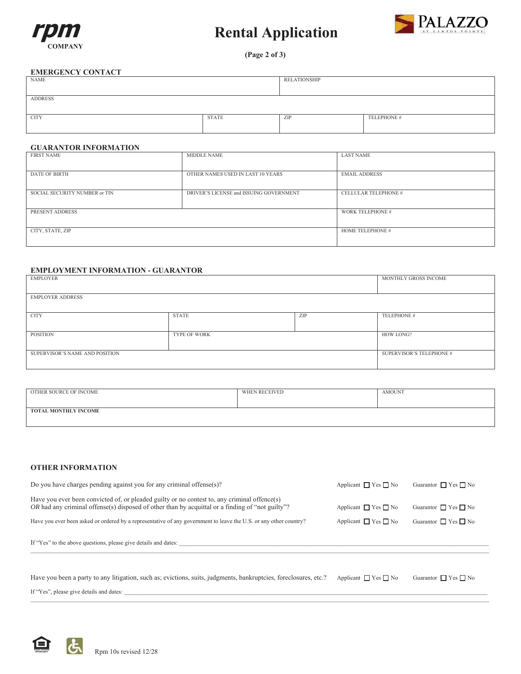

# **Rental Application**



(Page 2 of 3)

#### **EMERGENCY CONTACT**

| NAME           |              | RELATIONSHIP |             |
|----------------|--------------|--------------|-------------|
|                |              |              |             |
| <b>ADDRESS</b> |              |              |             |
|                |              |              |             |
| <b>CITY</b>    | <b>STATE</b> | ZIP          | TELEPHONE # |
|                |              |              |             |

#### **GUARANTOR INFORMATION**

| FIRST NAME                    | MIDDLE NAME                             | LAST NAME               |
|-------------------------------|-----------------------------------------|-------------------------|
| <b>DATE OF BIRTH</b>          | OTHER NAMES USED IN LAST 10 YEARS       | <b>EMAIL ADDRESS</b>    |
| SOCIAL SECURITY NUMBER or TIN | DRIVER'S LICENSE and ISSUING GOVERNMENT | CELLULAR TELEPHONE #    |
| PRESENT ADDRESS               |                                         | <b>WORK TELEPHONE #</b> |
| CITY, STATE, ZIP              |                                         | HOME TELEPHONE #        |

#### **EMPLOYMENT INFORMATION - GUARANTOR**

| EMPLOYER                       |              |     | MONTHLY GROSS INCOME            |
|--------------------------------|--------------|-----|---------------------------------|
| <b>EMPLOYER ADDRESS</b>        |              |     |                                 |
| <b>CITY</b>                    | <b>STATE</b> | ZIP | TELEPHONE #                     |
| POSITION                       | TYPE OF WORK |     | HOW LONG?                       |
| SUPERVISOR'S NAME AND POSITION |              |     | <b>SUPERVISOR'S TELEPHONE #</b> |

| OTHER SOURCE OF INCOME | WHEN RECEIVED | <b>AMOUNT</b> |
|------------------------|---------------|---------------|
| TOTAL MONTHLY INCOME   |               |               |

#### **OTHER INFORMATION**

| Do you have charges pending against you for any criminal offense $(s)$ ?                                                                                                                         | Applicant $\Box$ Yes $\Box$ No | Guarantor $\Box$ Yes $\Box$ No |
|--------------------------------------------------------------------------------------------------------------------------------------------------------------------------------------------------|--------------------------------|--------------------------------|
| Have you ever been convicted of, or pleaded guilty or no contest to, any criminal offence(s)<br>OR had any criminal offense(s) disposed of other than by acquittal or a finding of "not guilty"? | Applicant $\Box$ Yes $\Box$ No | Guarantor $\Box$ Yes $\Box$ No |
| Have you ever been asked or ordered by a representative of any government to leave the U.S. or any other country?                                                                                | Applicant $\Box$ Yes $\Box$ No | Guarantor $\Box$ Yes $\Box$ No |
| If "Yes" to the above questions, please give details and dates:                                                                                                                                  |                                |                                |
|                                                                                                                                                                                                  |                                |                                |

| Have you been a party to any litigation, such as; evictions, suits, judgments, bankruptcies, foreclosures, etc.? Applicant $\Box$ Yes $\Box$ No Guarantor $\Box$ Yes $\Box$ No |  |
|--------------------------------------------------------------------------------------------------------------------------------------------------------------------------------|--|
| If "Yes", please give details and dates:                                                                                                                                       |  |

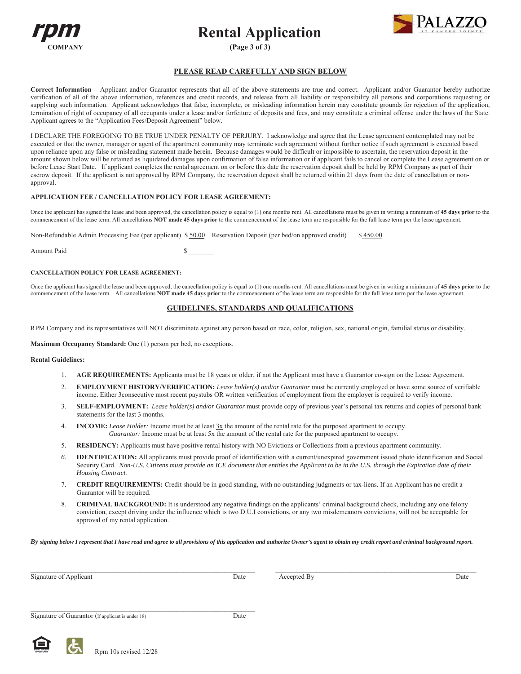





(Page 3 of 3)

#### PLEASE READ CAREFULLY AND SIGN BELOW

Correct Information - Applicant and/or Guarantor represents that all of the above statements are true and correct. Applicant and/or Guarantor hereby authorize verification of all of the above information, references and credit records, and release from all liability or responsibility all persons and corporations requesting or supplying such information. Applicant acknowledges that false, incomplete, or misleading information herein may constitute grounds for rejection of the application, termination of right of occupancy of all occupants under a lease and/or forfeiture of deposits and fees, and may constitute a criminal offense under the laws of the State. Applicant agrees to the "Application Fees/Deposit Agreement" below.

I DECLARE THE FOREGOING TO BE TRUE UNDER PENALTY OF PERJURY. I acknowledge and agree that the Lease agreement contemplated may not be executed or that the owner, manager or agent of the apartment community may terminate such agreement without further notice if such agreement is executed based upon reliance upon any false or misleading statement made herein. Because damages would be difficult or impossible to ascertain, the reservation deposit in the amount shown below will be retained as liquidated damages upon confirmation of false information or if applicant fails to cancel or complete the Lease agreement on or before Lease Start Date. If applicant completes the rental agreement on or before this date the reservation deposit shall be held by RPM Company as part of their escrow deposit. If the applicant is not approved by RPM Company, the reservation deposit shall be returned within 21 days from the date of cancellation or nonapproval.

#### APPLICATION FEE / CANCELLATION POLICY FOR LEASE AGREEMENT:

Once the applicant has signed the lease and been approved, the cancellation policy is equal to (1) one months rent. All cancellations must be given in writing a minimum of 45 days prior to the commencement of the lease term. All cancellations NOT made 45 days prior to the commencement of the lease term are responsible for the full lease term per the lease agreement.

Non-Refundable Admin Processing Fee (per applicant) \$50.00 Reservation Deposit (per bed/on approved credit)  $$450.00$ 

Amount Paid

#### **CANCELLATION POLICY FOR LEASE AGREEMENT:**

Once the applicant has signed the lease and been approved, the cancellation policy is equal to (1) one months rent. All cancellations must be given in writing a minimum of 45 days prior to the commencement of the lease term. All cancellations NOT made 45 days prior to the commencement of the lease term are responsible for the full lease term per the lease agreement.

#### **GUIDELINES, STANDARDS AND QUALIFICATIONS**

RPM Company and its representatives will NOT discriminate against any person based on race, color, religion, sex, national origin, familial status or disability.

Maximum Occupancy Standard: One (1) person per bed, no exceptions.

#### **Rental Guidelines:**

- AGE REQUIREMENTS: Applicants must be 18 years or older, if not the Applicant must have a Guarantor co-sign on the Lease Agreement.
- EMPLOYMENT HISTORY/VERIFICATION: Lease holder(s) and/or Guarantor must be currently employed or have some source of verifiable 2. income. Either 3 consecutive most recent paystubs OR written verification of employment from the employer is required to verify income.
- SELF-EMPLOYMENT: Lease holder(s) and/or Guarantor must provide copy of previous year's personal tax returns and copies of personal bank  $\mathcal{L}$ statements for the last 3 months.
- 4. **INCOME:** Lease Holder: Income must be at least  $3x$  the amount of the rental rate for the purposed apartment to occupy. Guarantor: Income must be at least  $5x$  the amount of the rental rate for the purposed apartment to occupy.
- RESIDENCY: Applicants must have positive rental history with NO Evictions or Collections from a previous apartment community. .5.
- IDENTIFICATION: All applicants must provide proof of identification with a current/unexpired government issued photo identification and Social 6 Security Card. Non-U.S. Citizens must provide an ICE document that entitles the Applicant to be in the U.S. through the Expiration date of their Housing Contract.
- $7<sub>1</sub>$ **CREDIT REQUIREMENTS:** Credit should be in good standing, with no outstanding judgments or tax-liens. If an Applicant has no credit a Guarantor will be required.
- CRIMINAL BACKGROUND: It is understood any negative findings on the applicants' criminal background check, including any one felony 8. conviction, except driving under the influence which is two D.U.I convictions, or any two misdemeanors convictions, will not be acceptable for approval of my rental application.

By signing below I represent that I have read and agree to all provisions of this application and authorize Owner's agent to obtain my credit report and criminal background report.

| Signature of Applicant                            | Date | Accepted By | Date |
|---------------------------------------------------|------|-------------|------|
|                                                   |      |             |      |
| Signature of Guarantor (If applicant is under 18) | Date |             |      |

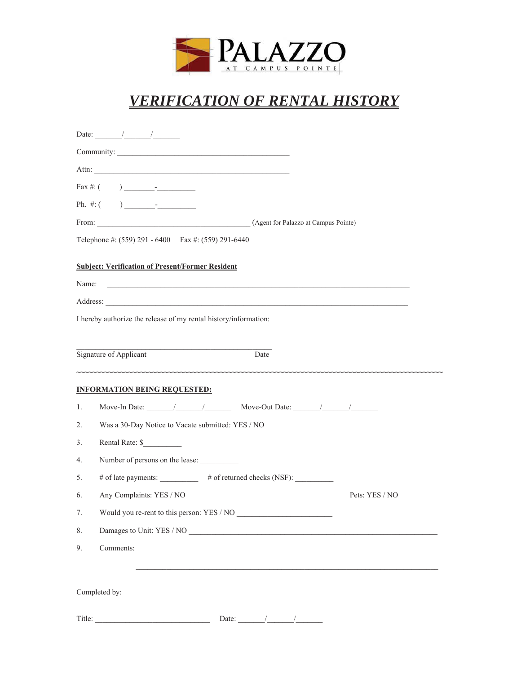

# *VERIFICATION OF RENTAL HISTORY*

|       | Date: $\frac{1}{\sqrt{1-\frac{1}{2}}}\frac{1}{\sqrt{1-\frac{1}{2}}}\frac{1}{\sqrt{1-\frac{1}{2}}}\frac{1}{\sqrt{1-\frac{1}{2}}}\frac{1}{\sqrt{1-\frac{1}{2}}}\frac{1}{\sqrt{1-\frac{1}{2}}}\frac{1}{\sqrt{1-\frac{1}{2}}}\frac{1}{\sqrt{1-\frac{1}{2}}}\frac{1}{\sqrt{1-\frac{1}{2}}}\frac{1}{\sqrt{1-\frac{1}{2}}}\frac{1}{\sqrt{1-\frac{1}{2}}}\frac{1}{\sqrt{1-\frac{1}{2}}}\frac{1}{\sqrt{1-\frac{1}{2}}}\frac{1}{\$ |                |
|-------|--------------------------------------------------------------------------------------------------------------------------------------------------------------------------------------------------------------------------------------------------------------------------------------------------------------------------------------------------------------------------------------------------------------------------|----------------|
|       |                                                                                                                                                                                                                                                                                                                                                                                                                          |                |
|       |                                                                                                                                                                                                                                                                                                                                                                                                                          |                |
|       |                                                                                                                                                                                                                                                                                                                                                                                                                          |                |
|       |                                                                                                                                                                                                                                                                                                                                                                                                                          |                |
|       |                                                                                                                                                                                                                                                                                                                                                                                                                          |                |
|       | Telephone #: (559) 291 - 6400  Fax #: (559) 291-6440                                                                                                                                                                                                                                                                                                                                                                     |                |
| Name: | <b>Subject: Verification of Present/Former Resident</b><br><u> 1999 - Jan Barbara de Santo de Santo de Santo de Santo de Santo de Santo de Santo de Santo de Santo de Santo </u>                                                                                                                                                                                                                                         |                |
|       | Address:                                                                                                                                                                                                                                                                                                                                                                                                                 |                |
|       | I hereby authorize the release of my rental history/information:                                                                                                                                                                                                                                                                                                                                                         |                |
|       |                                                                                                                                                                                                                                                                                                                                                                                                                          |                |
|       | Signature of Applicant<br>Date                                                                                                                                                                                                                                                                                                                                                                                           |                |
|       |                                                                                                                                                                                                                                                                                                                                                                                                                          |                |
|       | <b>INFORMATION BEING REQUESTED:</b>                                                                                                                                                                                                                                                                                                                                                                                      |                |
| 1.    | Move-In Date: $\sqrt{2\pi}$ / Move-Out Date: $\sqrt{2\pi}$                                                                                                                                                                                                                                                                                                                                                               |                |
| 2.    | Was a 30-Day Notice to Vacate submitted: YES / NO                                                                                                                                                                                                                                                                                                                                                                        |                |
| 3.    | Rental Rate: \$                                                                                                                                                                                                                                                                                                                                                                                                          |                |
| 4.    | Number of persons on the lease:                                                                                                                                                                                                                                                                                                                                                                                          |                |
| 5.    | # of late payments: __________ # of returned checks (NSF): _________                                                                                                                                                                                                                                                                                                                                                     |                |
| 6.    |                                                                                                                                                                                                                                                                                                                                                                                                                          | Pets: YES / NO |
| 7.    | Would you re-rent to this person: YES / NO                                                                                                                                                                                                                                                                                                                                                                               |                |
| 8.    |                                                                                                                                                                                                                                                                                                                                                                                                                          |                |
| 9.    |                                                                                                                                                                                                                                                                                                                                                                                                                          |                |
|       |                                                                                                                                                                                                                                                                                                                                                                                                                          |                |
|       |                                                                                                                                                                                                                                                                                                                                                                                                                          |                |
|       | Date: $\frac{1}{\sqrt{1-\frac{1}{2}}}\frac{1}{\sqrt{1-\frac{1}{2}}}\frac{1}{\sqrt{1-\frac{1}{2}}}\frac{1}{\sqrt{1-\frac{1}{2}}}\frac{1}{\sqrt{1-\frac{1}{2}}}\frac{1}{\sqrt{1-\frac{1}{2}}}\frac{1}{\sqrt{1-\frac{1}{2}}}\frac{1}{\sqrt{1-\frac{1}{2}}}\frac{1}{\sqrt{1-\frac{1}{2}}}\frac{1}{\sqrt{1-\frac{1}{2}}}\frac{1}{\sqrt{1-\frac{1}{2}}}\frac{1}{\sqrt{1-\frac{1}{2}}}\frac{1}{\sqrt{1-\frac{1}{2}}}\frac{1}{\$ |                |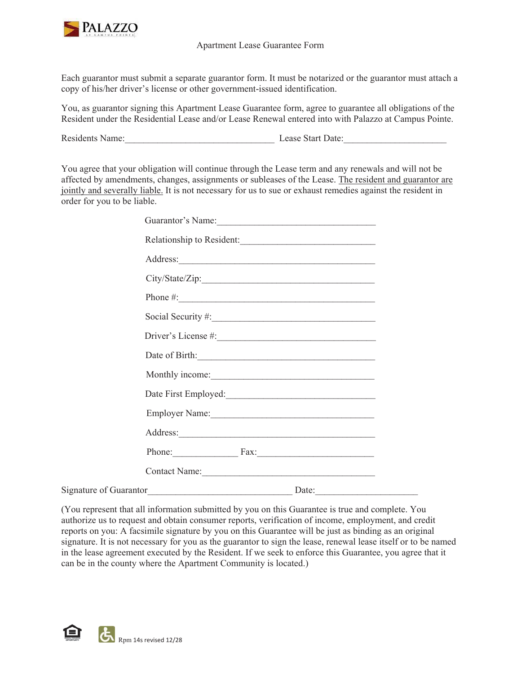

### Apartment Lease Guarantee Form

Each guarantor must submit a separate guarantor form. It must be notarized or the guarantor must attach a copy of his/her driver's license or other government-issued identification.

You, as guarantor signing this Apartment Lease Guarantee form, agree to guarantee all obligations of the Resident under the Residential Lease and/or Lease Renewal entered into with Palazzo at Campus Pointe.

Residents Name: Lease Start Date:

You agree that your obligation will continue through the Lease term and any renewals and will not be affected by amendments, changes, assignments or subleases of the Lease. The resident and guarantor are jointly and severally liable. It is not necessary for us to sue or exhaust remedies against the resident in order for you to be liable.

|                        | Guarantor's Name:         |       |  |
|------------------------|---------------------------|-------|--|
|                        | Relationship to Resident: |       |  |
|                        |                           |       |  |
|                        |                           |       |  |
|                        | Phone $\#$ :              |       |  |
|                        |                           |       |  |
|                        |                           |       |  |
|                        |                           |       |  |
|                        |                           |       |  |
|                        |                           |       |  |
|                        | Employer Name: 1988       |       |  |
|                        | Address:                  |       |  |
|                        | Phone: Fax: Fax:          |       |  |
|                        | Contact Name: 1988        |       |  |
| Signature of Guarantor |                           | Date: |  |

(You represent that all information submitted by you on this Guarantee is true and complete. You authorize us to request and obtain consumer reports, verification of income, employment, and credit reports on you: A facsimile signature by you on this Guarantee will be just as binding as an original signature. It is not necessary for you as the guarantor to sign the lease, renewal lease itself or to be named in the lease agreement executed by the Resident. If we seek to enforce this Guarantee, you agree that it can be in the county where the Apartment Community is located.)

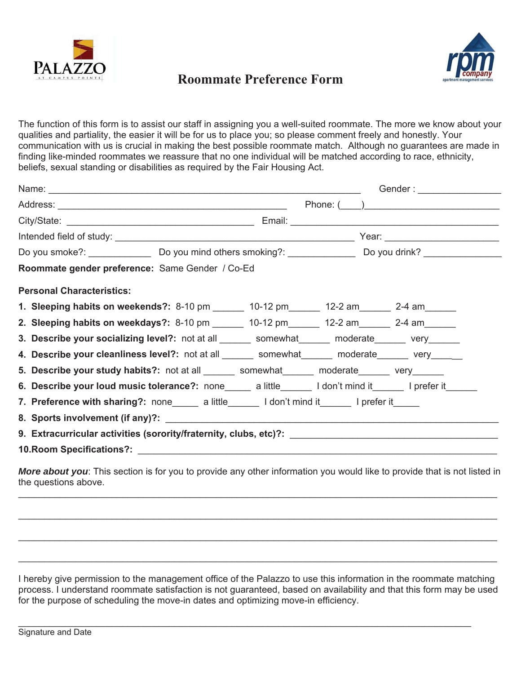

## **Roommate Preference Form**



The function of this form is to assist our staff in assigning you a well-suited roommate. The more we know about your qualities and partiality, the easier it will be for us to place you; so please comment freely and honestly. Your communication with us is crucial in making the best possible roommate match. Although no guarantees are made in finding like-minded roommates we reassure that no one individual will be matched according to race, ethnicity, beliefs, sexual standing or disabilities as required by the Fair Housing Act.

|                                                                                                          |  | Gender : ___________________ |
|----------------------------------------------------------------------------------------------------------|--|------------------------------|
|                                                                                                          |  |                              |
|                                                                                                          |  |                              |
|                                                                                                          |  |                              |
|                                                                                                          |  |                              |
| Roommate gender preference: Same Gender / Co-Ed                                                          |  |                              |
| <b>Personal Characteristics:</b>                                                                         |  |                              |
| 1. Sleeping habits on weekends?: 8-10 pm ______ 10-12 pm _____ 12-2 am _____ 2-4 am _____                |  |                              |
| 2. Sleeping habits on weekdays?: 8-10 pm ______ 10-12 pm _____ 12-2 am _____ 2-4 am _____                |  |                              |
| 3. Describe your socializing level?: not at all ______ somewhat______ moderate______ very______          |  |                              |
| 4. Describe your cleanliness level?: not at all ______ somewhat______ moderate______ very______          |  |                              |
| 5. Describe your study habits?: not at all _______ somewhat ______ moderate ______ very ______           |  |                              |
| 6. Describe your loud music tolerance?: none_____ a little______ I don't mind it______ I prefer it______ |  |                              |
| 7. Preference with sharing?: none_____ a little______ I don't mind it______ I prefer it_____             |  |                              |
|                                                                                                          |  |                              |
| 9. Extracurricular activities (sorority/fraternity, clubs, etc)?: _________________________________      |  |                              |
|                                                                                                          |  |                              |

I hereby give permission to the management office of the Palazzo to use this information in the roommate matching process. I understand roommate satisfaction is not guaranteed, based on availability and that this form may be used for the purpose of scheduling the move-in dates and optimizing move-in efficiency.

 $\_$ 

 $\_$ 

 $\_$ 

 $\_$